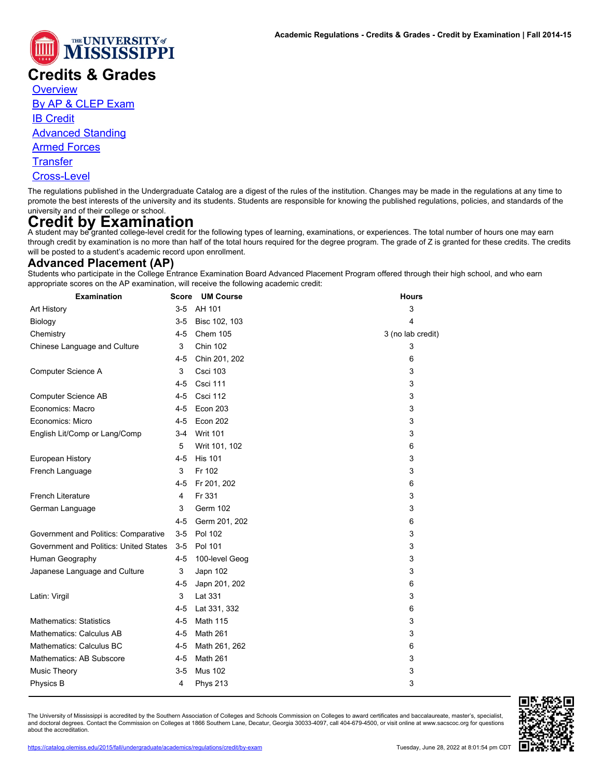

# **Credits & Grades**

**[Overview](https://catalog.olemiss.edu/2015/fall/academics/regulations/credit)** 

[By AP & CLEP Exam](https://catalog.olemiss.edu/2015/fall/academics/regulations/credit/by-exam)

[IB Credit](https://catalog.olemiss.edu/2015/fall/academics/regulations/credit/international-baccalaureate)

[Advanced Standing](https://catalog.olemiss.edu/2015/fall/academics/regulations/credit/advanced-standing)

[Armed Forces](https://catalog.olemiss.edu/2015/fall/academics/regulations/credit/armed-forces)

**[Transfer](https://catalog.olemiss.edu/2015/fall/academics/regulations/credit/transfer)** 

[Cross-Level](https://catalog.olemiss.edu/2015/fall/academics/regulations/credit/cross-level)

The regulations published in the Undergraduate Catalog are a digest of the rules of the institution. Changes may be made in the regulations at any time to promote the best interests of the university and its students. Students are responsible for knowing the published regulations, policies, and standards of the university and of their college or school.

Credit by Examination<br>A student may be granted college-level credit for the following types of learning, examinations, or experiences. The total number of hours one may earn through credit by examination is no more than half of the total hours required for the degree program. The grade of Z is granted for these credits. The credits will be posted to a student's academic record upon enrollment.

## **Advanced Placement (AP)**

Students who participate in the College Entrance Examination Board Advanced Placement Program offered through their high school, and who earn appropriate scores on the AP examination, will receive the following academic credit:

| <b>Examination</b>                     | Score   | <b>UM Course</b> | <b>Hours</b>      |
|----------------------------------------|---------|------------------|-------------------|
| Art History                            | $3-5$   | AH 101           | 3                 |
| Biology                                | 3-5     | Bisc 102, 103    | 4                 |
| Chemistry                              | $4 - 5$ | Chem 105         | 3 (no lab credit) |
| Chinese Language and Culture           | 3       | <b>Chin 102</b>  | 3                 |
|                                        | $4 - 5$ | Chin 201, 202    | 6                 |
| Computer Science A                     | 3       | Csci 103         | 3                 |
|                                        | $4 - 5$ | Csci 111         | 3                 |
| <b>Computer Science AB</b>             | $4 - 5$ | Csci 112         | 3                 |
| Economics: Macro                       | $4 - 5$ | Econ 203         | 3                 |
| Economics: Micro                       | $4 - 5$ | Econ 202         | 3                 |
| English Lit/Comp or Lang/Comp          | $3 - 4$ | <b>Writ 101</b>  | 3                 |
|                                        | 5       | Writ 101, 102    | 6                 |
| European History                       | $4 - 5$ | <b>His 101</b>   | 3                 |
| French Language                        | 3       | Fr 102           | 3                 |
|                                        | 4-5     | Fr 201, 202      | 6                 |
| <b>French Literature</b>               | 4       | Fr 331           | 3                 |
| German Language                        | 3       | <b>Germ 102</b>  | 3                 |
|                                        | $4 - 5$ | Germ 201, 202    | 6                 |
| Government and Politics: Comparative   | $3-5$   | Pol 102          | 3                 |
| Government and Politics: United States | $3-5$   | Pol 101          | 3                 |
| Human Geography                        | 4-5     | 100-level Geog   | 3                 |
| Japanese Language and Culture          | 3       | Japn 102         | 3                 |
|                                        | 4-5     | Japn 201, 202    | 6                 |
| Latin: Virgil                          | 3       | Lat 331          | 3                 |
|                                        | $4 - 5$ | Lat 331, 332     | 6                 |
| <b>Mathematics: Statistics</b>         | $4 - 5$ | Math 115         | 3                 |
| Mathematics: Calculus AB               | $4 - 5$ | Math 261         | 3                 |
| Mathematics: Calculus BC               | 4-5     | Math 261, 262    | 6                 |
| Mathematics: AB Subscore               | $4 - 5$ | Math 261         | 3                 |
| <b>Music Theory</b>                    | $3-5$   | <b>Mus 102</b>   | 3                 |
| Physics B                              | 4       | <b>Phys 213</b>  | 3                 |

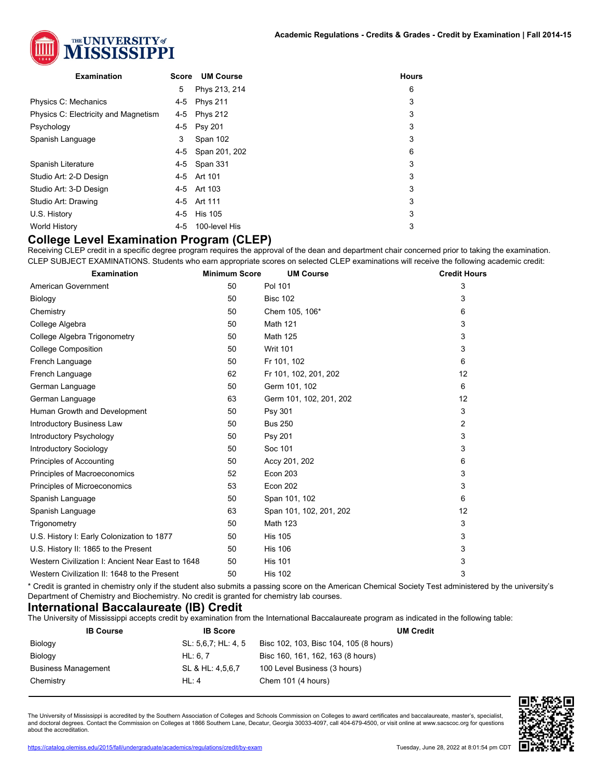

| <b>Examination</b>                   | Score   | <b>UM Course</b> | <b>Hours</b> |
|--------------------------------------|---------|------------------|--------------|
|                                      | 5       | Phys 213, 214    | 6            |
| Physics C: Mechanics                 | 4-5     | <b>Phys 211</b>  | 3            |
| Physics C: Electricity and Magnetism | 4-5     | <b>Phys 212</b>  | 3            |
| Psychology                           | 4-5     | <b>Psy 201</b>   | 3            |
| Spanish Language                     | 3       | Span 102         | 3            |
|                                      | 4-5     | Span 201, 202    | 6            |
| Spanish Literature                   | 4-5     | Span 331         | 3            |
| Studio Art: 2-D Design               |         | 4-5 Art 101      | 3            |
| Studio Art: 3-D Design               |         | 4-5 Art 103      | 3            |
| Studio Art: Drawing                  | 4-5     | Art 111          | 3            |
| U.S. History                         | 4-5     | <b>His 105</b>   | 3            |
| World History                        | $4 - 5$ | 100-level His    | 3            |
|                                      |         |                  |              |

#### **College Level Examination Program (CLEP)**

Receiving CLEP credit in a specific degree program requires the approval of the dean and department chair concerned prior to taking the examination. CLEP SUBJECT EXAMINATIONS. Students who earn appropriate scores on selected CLEP examinations will receive the following academic credit:

| <b>Examination</b>                                | <b>Minimum Score</b> | <b>UM Course</b>        | <b>Credit Hours</b> |
|---------------------------------------------------|----------------------|-------------------------|---------------------|
| American Government                               | 50                   | Pol 101                 | 3                   |
| Biology                                           | 50                   | <b>Bisc 102</b>         | 3                   |
| Chemistry                                         | 50                   | Chem 105, 106*          | 6                   |
| College Algebra                                   | 50                   | <b>Math 121</b>         | 3                   |
| College Algebra Trigonometry                      | 50                   | <b>Math 125</b>         | 3                   |
| <b>College Composition</b>                        | 50                   | <b>Writ 101</b>         | 3                   |
| French Language                                   | 50                   | Fr 101, 102             | 6                   |
| French Language                                   | 62                   | Fr 101, 102, 201, 202   | 12                  |
| German Language                                   | 50                   | Germ 101, 102           | 6                   |
| German Language                                   | 63                   | Germ 101, 102, 201, 202 | 12                  |
| Human Growth and Development                      | 50                   | Psy 301                 | 3                   |
| <b>Introductory Business Law</b>                  | 50                   | <b>Bus 250</b>          | 2                   |
| Introductory Psychology                           | 50                   | <b>Psy 201</b>          | 3                   |
| <b>Introductory Sociology</b>                     | 50                   | Soc 101                 | 3                   |
| Principles of Accounting                          | 50                   | Accy 201, 202           | 6                   |
| Principles of Macroeconomics                      | 52                   | <b>Econ 203</b>         | 3                   |
| Principles of Microeconomics                      | 53                   | Econ 202                | 3                   |
| Spanish Language                                  | 50                   | Span 101, 102           | 6                   |
| Spanish Language                                  | 63                   | Span 101, 102, 201, 202 | 12                  |
| Trigonometry                                      | 50                   | <b>Math 123</b>         | 3                   |
| U.S. History I: Early Colonization to 1877        | 50                   | <b>His 105</b>          | 3                   |
| U.S. History II: 1865 to the Present              | 50                   | <b>His 106</b>          | 3                   |
| Western Civilization I: Ancient Near East to 1648 | 50                   | <b>His 101</b>          | 3                   |
| Western Civilization II: 1648 to the Present      | 50                   | <b>His 102</b>          | 3                   |

\* Credit is granted in chemistry only if the student also submits a passing score on the American Chemical Society Test administered by the university's Department of Chemistry and Biochemistry. No credit is granted for chemistry lab courses.

### **International Baccalaureate (IB) Credit**

The University of Mississippi accepts credit by examination from the International Baccalaureate program as indicated in the following table:

| <b>IB Course</b>           | <b>IB Score</b>     | <b>UM Credit</b>                       |
|----------------------------|---------------------|----------------------------------------|
| Biology                    | SL: 5,6,7; HL: 4, 5 | Bisc 102, 103, Bisc 104, 105 (8 hours) |
| Biology                    | HL: 6.7             | Bisc 160, 161, 162, 163 (8 hours)      |
| <b>Business Management</b> | SL & HL: 4,5,6,7    | 100 Level Business (3 hours)           |
| Chemistry                  | HL: 4               | Chem 101 (4 hours)                     |

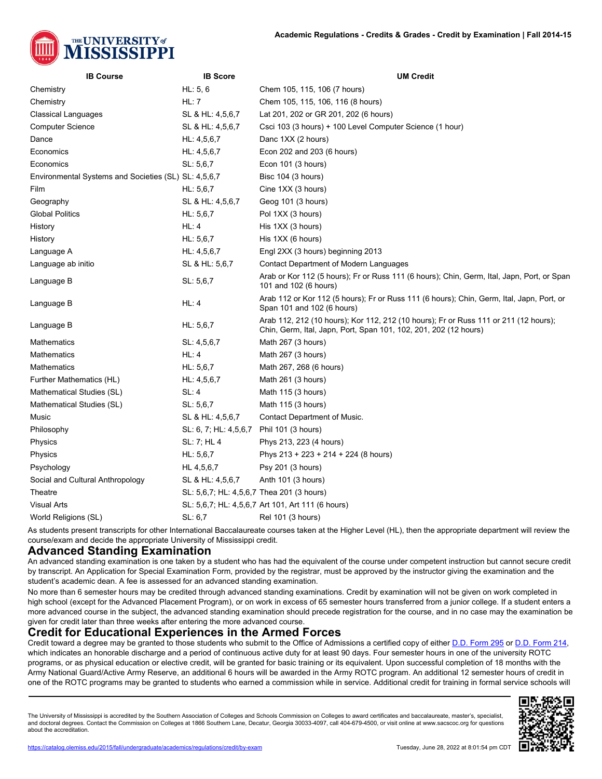

| <b>IB Course</b>                                     | <b>IB Score</b>                           | <b>UM Credit</b>                                                                                                                                         |
|------------------------------------------------------|-------------------------------------------|----------------------------------------------------------------------------------------------------------------------------------------------------------|
| Chemistry                                            | HL: 5, 6                                  | Chem 105, 115, 106 (7 hours)                                                                                                                             |
| Chemistry                                            | HL:7                                      | Chem 105, 115, 106, 116 (8 hours)                                                                                                                        |
| Classical Languages                                  | SL & HL: 4,5,6,7                          | Lat 201, 202 or GR 201, 202 (6 hours)                                                                                                                    |
| <b>Computer Science</b>                              | SL & HL: 4,5,6,7                          | Csci 103 (3 hours) + 100 Level Computer Science (1 hour)                                                                                                 |
| Dance                                                | HL: 4, 5, 6, 7                            | Danc 1XX (2 hours)                                                                                                                                       |
| Economics                                            | HL: 4, 5, 6, 7                            | Econ 202 and 203 (6 hours)                                                                                                                               |
| Economics                                            | SL: 5, 6, 7                               | Econ 101 (3 hours)                                                                                                                                       |
| Environmental Systems and Societies (SL) SL: 4,5,6,7 |                                           | Bisc 104 (3 hours)                                                                                                                                       |
| Film                                                 | HL: 5, 6, 7                               | Cine 1XX (3 hours)                                                                                                                                       |
| Geography                                            | SL & HL: 4,5,6,7                          | Geog 101 (3 hours)                                                                                                                                       |
| <b>Global Politics</b>                               | HL: 5, 6, 7                               | Pol 1XX (3 hours)                                                                                                                                        |
| History                                              | HL:4                                      | His 1XX (3 hours)                                                                                                                                        |
| History                                              | HL: 5, 6, 7                               | His 1XX (6 hours)                                                                                                                                        |
| Language A                                           | HL: 4, 5, 6, 7                            | Engl 2XX (3 hours) beginning 2013                                                                                                                        |
| Language ab initio                                   | SL & HL: 5,6,7                            | Contact Department of Modern Languages                                                                                                                   |
| Language B                                           | SL: 5, 6, 7                               | Arab or Kor 112 (5 hours); Fr or Russ 111 (6 hours); Chin, Germ, Ital, Japn, Port, or Span<br>101 and 102 (6 hours)                                      |
| Language B                                           | HL:4                                      | Arab 112 or Kor 112 (5 hours); Fr or Russ 111 (6 hours); Chin, Germ, Ital, Japn, Port, or<br>Span 101 and 102 (6 hours)                                  |
| Language B                                           | HL: 5, 6, 7                               | Arab 112, 212 (10 hours); Kor 112, 212 (10 hours); Fr or Russ 111 or 211 (12 hours);<br>Chin, Germ, Ital, Japn, Port, Span 101, 102, 201, 202 (12 hours) |
| <b>Mathematics</b>                                   | SL: 4, 5, 6, 7                            | Math 267 (3 hours)                                                                                                                                       |
| <b>Mathematics</b>                                   | HL:4                                      | Math 267 (3 hours)                                                                                                                                       |
| Mathematics                                          | HL: 5, 6, 7                               | Math 267, 268 (6 hours)                                                                                                                                  |
| Further Mathematics (HL)                             | HL: 4, 5, 6, 7                            | Math 261 (3 hours)                                                                                                                                       |
| Mathematical Studies (SL)                            | SL:4                                      | Math 115 (3 hours)                                                                                                                                       |
| Mathematical Studies (SL)                            | SL: 5, 6, 7                               | Math 115 (3 hours)                                                                                                                                       |
| Music                                                | SL & HL: 4,5,6,7                          | Contact Department of Music.                                                                                                                             |
| Philosophy                                           | SL: 6, 7; HL: 4,5,6,7                     | Phil 101 (3 hours)                                                                                                                                       |
| Physics                                              | SL: 7; HL 4                               | Phys 213, 223 (4 hours)                                                                                                                                  |
| Physics                                              | HL: 5, 6, 7                               | Phys $213 + 223 + 214 + 224$ (8 hours)                                                                                                                   |
| Psychology                                           | HL 4, 5, 6, 7                             | Psy 201 (3 hours)                                                                                                                                        |
| Social and Cultural Anthropology                     | SL & HL: 4,5,6,7                          | Anth 101 (3 hours)                                                                                                                                       |
| Theatre                                              | SL: 5,6,7; HL: 4,5,6,7 Thea 201 (3 hours) |                                                                                                                                                          |
| <b>Visual Arts</b>                                   |                                           | SL: 5,6,7; HL: 4,5,6,7 Art 101, Art 111 (6 hours)                                                                                                        |
| World Religions (SL)                                 | SL: 6.7                                   | Rel 101 (3 hours)                                                                                                                                        |

As students present transcripts for other International Baccalaureate courses taken at the Higher Level (HL), then the appropriate department will review the course/exam and decide the appropriate University of Mississippi credit.

#### **Advanced Standing Examination**

An advanced standing examination is one taken by a student who has had the equivalent of the course under competent instruction but cannot secure credit by transcript. An Application for Special Examination Form, provided by the registrar, must be approved by the instructor giving the examination and the student's academic dean. A fee is assessed for an advanced standing examination.

No more than 6 semester hours may be credited through advanced standing examinations. Credit by examination will not be given on work completed in high school (except for the Advanced Placement Program), or on work in excess of 65 semester hours transferred from a junior college. If a student enters a more advanced course in the subject, the advanced standing examination should precede registration for the course, and in no case may the examination be given for credit later than three weeks after entering the more advanced course.

#### **Credit for Educational Experiences in the Armed Forces**

Credit toward a degree may be granted to those students who submit to the Office of Admissions a certified copy of either [D.D. Form 295](http://www.dtic.mil/whs/directives/infomgt/forms/forminfo/forminfopage64.html) or [D.D. Form 214,](http://www.dtic.mil/whs/directives/infomgt/forms/forminfo/forminfopage44.html) which indicates an honorable discharge and a period of continuous active duty for at least 90 days. Four semester hours in one of the university ROTC programs, or as physical education or elective credit, will be granted for basic training or its equivalent. Upon successful completion of 18 months with the Army National Guard/Active Army Reserve, an additional 6 hours will be awarded in the Army ROTC program. An additional 12 semester hours of credit in one of the ROTC programs may be granted to students who earned a commission while in service. Additional credit for training in formal service schools will